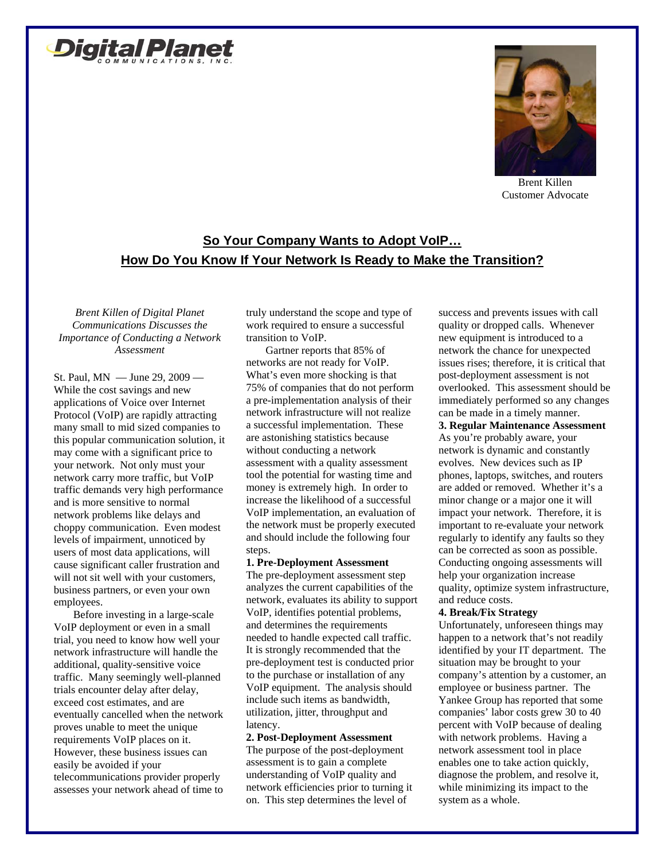



Brent Killen Customer Advocate

# **So Your Company Wants to Adopt VoIP… How Do You Know If Your Network Is Ready to Make the Transition?**

*Brent Killen of Digital Planet Communications Discusses the Importance of Conducting a Network Assessment*

St. Paul, MN — June 29, 2009 — While the cost savings and new applications of Voice over Internet Protocol (VoIP) are rapidly attracting many small to mid sized companies to this popular communication solution, it may come with a significant price to your network. Not only must your network carry more traffic, but VoIP traffic demands very high performance and is more sensitive to normal network problems like delays and choppy communication. Even modest levels of impairment, unnoticed by users of most data applications, will cause significant caller frustration and will not sit well with your customers, business partners, or even your own employees.

Before investing in a large-scale VoIP deployment or even in a small trial, you need to know how well your network infrastructure will handle the additional, quality-sensitive voice traffic. Many seemingly well-planned trials encounter delay after delay, exceed cost estimates, and are eventually cancelled when the network proves unable to meet the unique requirements VoIP places on it. However, these business issues can easily be avoided if your telecommunications provider properly assesses your network ahead of time to truly understand the scope and type of work required to ensure a successful transition to VoIP.

Gartner reports that 85% of networks are not ready for VoIP. What's even more shocking is that 75% of companies that do not perform a pre-implementation analysis of their network infrastructure will not realize a successful implementation. These are astonishing statistics because without conducting a network assessment with a quality assessment tool the potential for wasting time and money is extremely high. In order to increase the likelihood of a successful VoIP implementation, an evaluation of the network must be properly executed and should include the following four steps.

### **1. Pre-Deployment Assessment**

The pre-deployment assessment step analyzes the current capabilities of the network, evaluates its ability to support VoIP, identifies potential problems, and determines the requirements needed to handle expected call traffic. It is strongly recommended that the pre-deployment test is conducted prior to the purchase or installation of any VoIP equipment. The analysis should include such items as bandwidth, utilization, jitter, throughput and latency.

### **2. Post-Deployment Assessment**

The purpose of the post-deployment assessment is to gain a complete understanding of VoIP quality and network efficiencies prior to turning it on. This step determines the level of

success and prevents issues with call quality or dropped calls. Whenever new equipment is introduced to a network the chance for unexpected issues rises; therefore, it is critical that post-deployment assessment is not overlooked. This assessment should be immediately performed so any changes can be made in a timely manner.

## **3. Regular Maintenance Assessment**

As you're probably aware, your network is dynamic and constantly evolves. New devices such as IP phones, laptops, switches, and routers are added or removed. Whether it's a minor change or a major one it will impact your network. Therefore, it is important to re-evaluate your network regularly to identify any faults so they can be corrected as soon as possible. Conducting ongoing assessments will help your organization increase quality, optimize system infrastructure, and reduce costs.

#### **4. Break/Fix Strategy**

Unfortunately, unforeseen things may happen to a network that's not readily identified by your IT department. The situation may be brought to your company's attention by a customer, an employee or business partner. The Yankee Group has reported that some companies' labor costs grew 30 to 40 percent with VoIP because of dealing with network problems. Having a network assessment tool in place enables one to take action quickly, diagnose the problem, and resolve it, while minimizing its impact to the system as a whole.